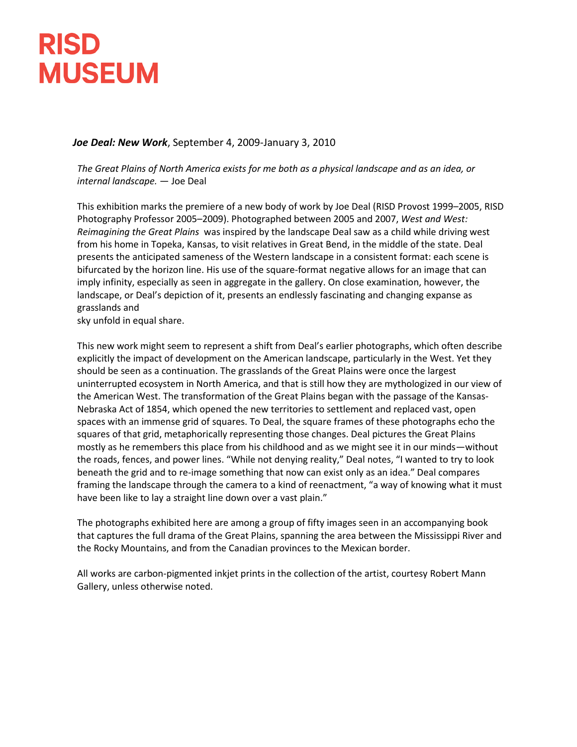## **RISD MUSEUM**

## *Joe Deal: New Work*, September 4, 2009-January 3, 2010

*The Great Plains of North America exists for me both as a physical landscape and as an idea, or internal landscape.* — Joe Deal

This exhibition marks the premiere of a new body of work by Joe Deal (RISD Provost 1999–2005, RISD Photography Professor 2005–2009). Photographed between 2005 and 2007, *West and West: Reimagining the Great Plains* was inspired by the landscape Deal saw as a child while driving west from his home in Topeka, Kansas, to visit relatives in Great Bend, in the middle of the state. Deal presents the anticipated sameness of the Western landscape in a consistent format: each scene is bifurcated by the horizon line. His use of the square-format negative allows for an image that can imply infinity, especially as seen in aggregate in the gallery. On close examination, however, the landscape, or Deal's depiction of it, presents an endlessly fascinating and changing expanse as grasslands and

sky unfold in equal share.

This new work might seem to represent a shift from Deal's earlier photographs, which often describe explicitly the impact of development on the American landscape, particularly in the West. Yet they should be seen as a continuation. The grasslands of the Great Plains were once the largest uninterrupted ecosystem in North America, and that is still how they are mythologized in our view of the American West. The transformation of the Great Plains began with the passage of the Kansas-Nebraska Act of 1854, which opened the new territories to settlement and replaced vast, open spaces with an immense grid of squares. To Deal, the square frames of these photographs echo the squares of that grid, metaphorically representing those changes. Deal pictures the Great Plains mostly as he remembers this place from his childhood and as we might see it in our minds—without the roads, fences, and power lines. "While not denying reality," Deal notes, "I wanted to try to look beneath the grid and to re-image something that now can exist only as an idea." Deal compares framing the landscape through the camera to a kind of reenactment, "a way of knowing what it must have been like to lay a straight line down over a vast plain."

The photographs exhibited here are among a group of fifty images seen in an accompanying book that captures the full drama of the Great Plains, spanning the area between the Mississippi River and the Rocky Mountains, and from the Canadian provinces to the Mexican border.

All works are carbon-pigmented inkjet prints in the collection of the artist, courtesy Robert Mann Gallery, unless otherwise noted.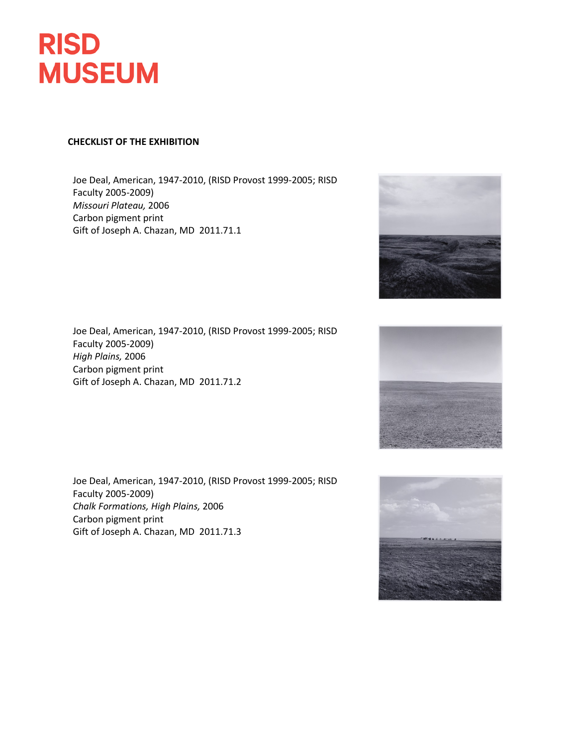

## **CHECKLIST OF THE EXHIBITION**

Joe Deal, American, 1947-2010, (RISD Provost 1999-2005; RISD Faculty 2005-2009) *Missouri Plateau,* 2006 Carbon pigment print Gift of Joseph A. Chazan, MD 2011.71.1

Joe Deal, American, 1947-2010, (RISD Provost 1999-2005; RISD Faculty 2005-2009) *High Plains,* 2006 Carbon pigment print Gift of Joseph A. Chazan, MD 2011.71.2

Joe Deal, American, 1947-2010, (RISD Provost 1999-2005; RISD Faculty 2005-2009) *Chalk Formations, High Plains,* 2006 Carbon pigment print Gift of Joseph A. Chazan, MD 2011.71.3